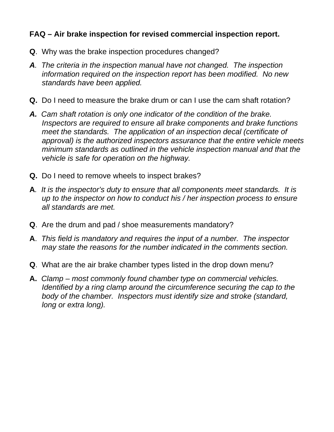## **FAQ – Air brake inspection for revised commercial inspection report.**

- **Q**. Why was the brake inspection procedures changed?
- *A. The criteria in the inspection manual have not changed. The inspection information required on the inspection report has been modified. No new standards have been applied.*
- **Q.** Do I need to measure the brake drum or can I use the cam shaft rotation?
- *A. Cam shaft rotation is only one indicator of the condition of the brake. Inspectors are required to ensure all brake components and brake functions meet the standards. The application of an inspection decal (certificate of approval) is the authorized inspectors assurance that the entire vehicle meets minimum standards as outlined in the vehicle inspection manual and that the vehicle is safe for operation on the highway.*
- **Q.** Do I need to remove wheels to inspect brakes?
- **A***. It is the inspector's duty to ensure that all components meet standards. It is up to the inspector on how to conduct his / her inspection process to ensure all standards are met.*
- **Q**. Are the drum and pad / shoe measurements mandatory?
- **A**. *This field is mandatory and requires the input of a number. The inspector may state the reasons for the number indicated in the comments section.*
- **Q**. What are the air brake chamber types listed in the drop down menu?
- **A.** *Clamp most commonly found chamber type on commercial vehicles. Identified by a ring clamp around the circumference securing the cap to the body of the chamber. Inspectors must identify size and stroke (standard, long or extra long).*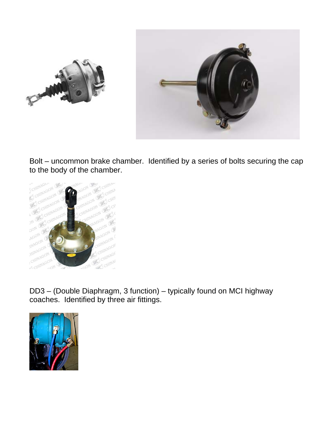

Bolt – uncommon brake chamber. Identified by a series of bolts securing the cap to the body of the chamber.



DD3 – (Double Diaphragm, 3 function) – typically found on MCI highway coaches. Identified by three air fittings.